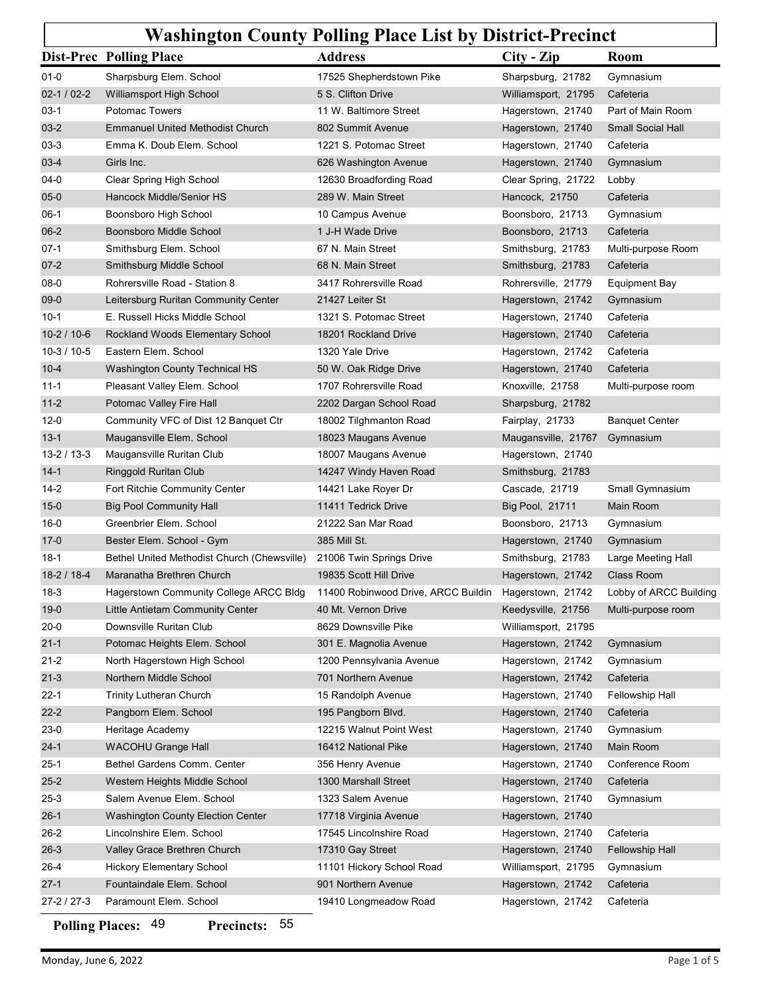## Washington County Polling Place List by District-Precinct

|                               | <b>Dist-Prec Polling Place</b>                         | <b>Address</b>                                | City - Zip                               | <b>Washington County Polling Place List by District-Precinct</b><br><b>Room</b> |
|-------------------------------|--------------------------------------------------------|-----------------------------------------------|------------------------------------------|---------------------------------------------------------------------------------|
| $01 - 0$                      | Sharpsburg Elem. School                                | 17525 Shepherdstown Pike                      | Sharpsburg, 21782                        | Gymnasium                                                                       |
| $02-1/02-2$                   | Williamsport High School                               | 5 S. Clifton Drive                            | Williamsport, 21795                      | Cafeteria                                                                       |
| 03-1                          | <b>Potomac Towers</b>                                  | 11 W. Baltimore Street                        | Hagerstown, 21740                        | Part of Main Room                                                               |
| $03-2$                        | <b>Emmanuel United Methodist Church</b>                | 802 Summit Avenue                             | Hagerstown, 21740                        | <b>Small Social Hall</b>                                                        |
| 03-3                          | Emma K. Doub Elem. School                              | 1221 S. Potomac Street                        | Hagerstown, 21740                        | Cafeteria                                                                       |
| $03-4$                        | Girls Inc.                                             | 626 Washington Avenue                         | Hagerstown, 21740                        | Gymnasium                                                                       |
| $04 - 0$                      | Clear Spring High School                               | 12630 Broadfording Road                       | Clear Spring, 21722                      | Lobby                                                                           |
| $05 - 0$                      | Hancock Middle/Senior HS                               | 289 W. Main Street                            | Hancock, 21750                           | Cafeteria                                                                       |
| $06-1$<br>$06 - 2$            | Boonsboro High School<br>Boonsboro Middle School       | 10 Campus Avenue<br>1 J-H Wade Drive          | Boonsboro, 21713<br>Boonsboro, 21713     | Gymnasium<br>Cafeteria                                                          |
| 07-1                          | Smithsburg Elem. School                                | 67 N. Main Street                             | Smithsburg, 21783                        | Multi-purpose Room                                                              |
| $07 - 2$                      | Smithsburg Middle School                               | 68 N. Main Street                             | Smithsburg, 21783                        | Cafeteria                                                                       |
| 08-0                          | Rohrersville Road - Station 8                          | 3417 Rohrersville Road                        | Rohrersville, 21779                      | <b>Equipment Bay</b>                                                            |
| 09-0                          | Leitersburg Ruritan Community Center                   | 21427 Leiter St                               | Hagerstown, 21742                        | Gymnasium                                                                       |
| $10-1$                        | E. Russell Hicks Middle School                         | 1321 S. Potomac Street                        | Hagerstown, 21740                        | Cafeteria                                                                       |
| $10-2/10-6$                   | Rockland Woods Elementary School                       | 18201 Rockland Drive                          | Hagerstown, 21740                        | Cafeteria                                                                       |
| $10-3/10-5$                   | Eastern Elem. School                                   | 1320 Yale Drive                               | Hagerstown, 21742                        | Cafeteria                                                                       |
| $10 - 4$                      | <b>Washington County Technical HS</b>                  | 50 W. Oak Ridge Drive                         | Hagerstown, 21740                        | Cafeteria                                                                       |
| $11 - 1$                      | Pleasant Valley Elem. School                           | 1707 Rohrersville Road                        | Knoxville, 21758                         | Multi-purpose room                                                              |
| $11 - 2$                      | Potomac Valley Fire Hall                               | 2202 Dargan School Road                       | Sharpsburg, 21782                        |                                                                                 |
| $12 - 0$                      | Community VFC of Dist 12 Banquet Ctr                   | 18002 Tilghmanton Road                        | Fairplay, 21733                          | <b>Banquet Center</b>                                                           |
| $13 - 1$<br>$13 - 2 / 13 - 3$ | Maugansville Elem. School<br>Maugansville Ruritan Club | 18023 Maugans Avenue<br>18007 Maugans Avenue  | Maugansville, 21767<br>Hagerstown, 21740 | Gymnasium                                                                       |
| $14 - 1$                      | Ringgold Ruritan Club                                  | 14247 Windy Haven Road                        | Smithsburg, 21783                        |                                                                                 |
| $14 - 2$                      | Fort Ritchie Community Center                          | 14421 Lake Royer Dr                           | Cascade, 21719                           | Small Gymnasium                                                                 |
| $15 - 0$                      | <b>Big Pool Community Hall</b>                         | 11411 Tedrick Drive                           | <b>Big Pool, 21711</b>                   | Main Room                                                                       |
| $16-0$                        | Greenbrier Elem. School                                | 21222 San Mar Road                            | Boonsboro, 21713                         | Gymnasium                                                                       |
| $17 - 0$                      | Bester Elem. School - Gym                              | 385 Mill St.                                  | Hagerstown, 21740                        | Gymnasium                                                                       |
| $18-1$                        | Bethel United Methodist Church (Chewsville)            | 21006 Twin Springs Drive                      | Smithsburg, 21783                        | Large Meeting Hall                                                              |
| $18-2/18-4$                   | Maranatha Brethren Church                              | 19835 Scott Hill Drive                        | Hagerstown, 21742                        | Class Room                                                                      |
| $18-3$                        | Hagerstown Community College ARCC Bldg                 | 11400 Robinwood Drive, ARCC Buildin           | Hagerstown, 21742                        | Lobby of ARCC Building                                                          |
| $19-0$                        | Little Antietam Community Center                       | 40 Mt. Vernon Drive                           | Keedysville, 21756                       | Multi-purpose room                                                              |
| $20 - 0$                      | Downsville Ruritan Club                                | 8629 Downsville Pike                          | Williamsport, 21795                      |                                                                                 |
| $21 - 1$                      | Potomac Heights Elem. School                           | 301 E. Magnolia Avenue                        | Hagerstown, 21742                        | Gymnasium                                                                       |
| $21 - 2$                      | North Hagerstown High School                           | 1200 Pennsylvania Avenue                      | Hagerstown, 21742                        | Gymnasium                                                                       |
| $21 - 3$                      | Northern Middle School                                 | 701 Northern Avenue                           | Hagerstown, 21742                        | Cafeteria                                                                       |
| 22-1                          | <b>Trinity Lutheran Church</b>                         | 15 Randolph Avenue                            | Hagerstown, 21740<br>Hagerstown, 21740   | Fellowship Hall<br>Cafeteria                                                    |
| $22 - 2$<br>$23-0$            | Pangborn Elem. School<br>Heritage Academy              | 195 Pangborn Blvd.<br>12215 Walnut Point West | Hagerstown, 21740                        | Gymnasium                                                                       |
| $24-1$                        | <b>WACOHU Grange Hall</b>                              | 16412 National Pike                           | Hagerstown, 21740                        | Main Room                                                                       |
| $25-1$                        | Bethel Gardens Comm. Center                            | 356 Henry Avenue                              | Hagerstown, 21740                        | Conference Room                                                                 |
| $25 - 2$                      | Western Heights Middle School                          | 1300 Marshall Street                          | Hagerstown, 21740                        | Cafeteria                                                                       |
| $25 - 3$                      | Salem Avenue Elem. School                              | 1323 Salem Avenue                             | Hagerstown, 21740                        | Gymnasium                                                                       |
| $26-1$                        | <b>Washington County Election Center</b>               | 17718 Virginia Avenue                         | Hagerstown, 21740                        |                                                                                 |
| 26-2                          | Lincolnshire Elem. School                              | 17545 Lincolnshire Road                       | Hagerstown, 21740                        | Cafeteria                                                                       |
| $26-3$                        | Valley Grace Brethren Church                           | 17310 Gay Street                              | Hagerstown, 21740                        | <b>Fellowship Hall</b>                                                          |
| $26 - 4$                      | <b>Hickory Elementary School</b>                       | 11101 Hickory School Road                     | Williamsport, 21795                      | Gymnasium                                                                       |
| $27-1$                        | Fountaindale Elem. School                              | 901 Northern Avenue                           | Hagerstown, 21742                        | Cafeteria                                                                       |
|                               | Paramount Elem. School                                 | 19410 Longmeadow Road                         | Hagerstown, 21742                        | Cafeteria                                                                       |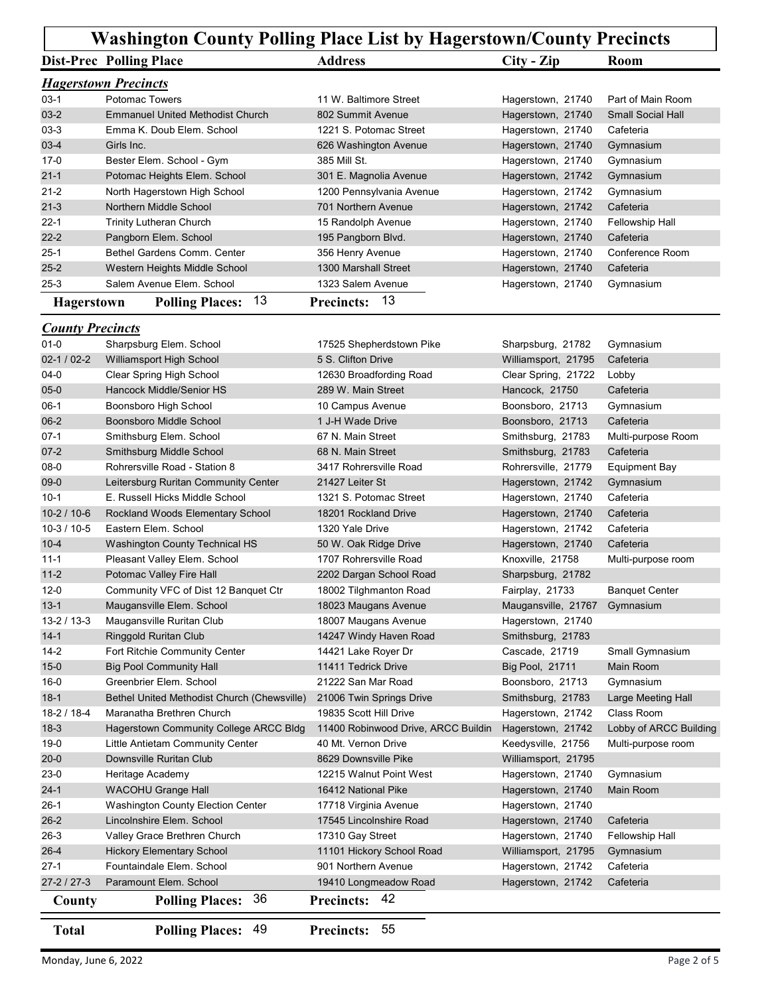## Washington County Polling Place List by Hagerstown/County Precincts

|                         |                                      | <b>Washington County Polling Place List by Hagerstown/County Precincts</b> |                     |                          |
|-------------------------|--------------------------------------|----------------------------------------------------------------------------|---------------------|--------------------------|
|                         | <b>Dist-Prec Polling Place</b>       | <b>Address</b>                                                             | $City - Zip$        | Room                     |
|                         | <b>Hagerstown Precincts</b>          |                                                                            |                     |                          |
| $03-1$                  | Potomac Towers                       | 11 W. Baltimore Street                                                     | Hagerstown, 21740   | Part of Main Room        |
| $03-2$                  | Emmanuel United Methodist Church     | 802 Summit Avenue                                                          | Hagerstown, 21740   | <b>Small Social Hall</b> |
| $03-3$                  | Emma K. Doub Elem. School            | 1221 S. Potomac Street                                                     | Hagerstown, 21740   | Cafeteria                |
| $03 - 4$                | Girls Inc.                           | 626 Washington Avenue                                                      | Hagerstown, 21740   | Gymnasium                |
| 17-0                    | Bester Elem. School - Gym            | 385 Mill St.                                                               | Hagerstown, 21740   | Gymnasium                |
| $21 - 1$                | Potomac Heights Elem. School         | 301 E. Magnolia Avenue                                                     | Hagerstown, 21742   | Gymnasium                |
| $21 - 2$                | North Hagerstown High School         | 1200 Pennsylvania Avenue                                                   | Hagerstown, 21742   | Gymnasium                |
| $21 - 3$                | Northern Middle School               | 701 Northern Avenue                                                        | Hagerstown, 21742   | Cafeteria                |
| $22 - 1$                | <b>Trinity Lutheran Church</b>       | 15 Randolph Avenue                                                         | Hagerstown, 21740   | <b>Fellowship Hall</b>   |
| $22 - 2$                | Pangborn Elem. School                | 195 Pangborn Blvd.                                                         | Hagerstown, 21740   | Cafeteria                |
| $25-1$                  | Bethel Gardens Comm. Center          | 356 Henry Avenue                                                           | Hagerstown, 21740   | Conference Room          |
| $25 - 2$                | Western Heights Middle School        | 1300 Marshall Street                                                       | Hagerstown, 21740   | Cafeteria                |
| 25-3                    | Salem Avenue Elem. School            | 1323 Salem Avenue                                                          | Hagerstown, 21740   | Gymnasium                |
| Hagerstown              | <b>Polling Places: 13</b>            | Precincts: 13                                                              |                     |                          |
|                         |                                      |                                                                            |                     |                          |
| <b>County Precincts</b> |                                      |                                                                            |                     |                          |
| $01 - 0$                | Sharpsburg Elem. School              | 17525 Shepherdstown Pike                                                   | Sharpsburg, 21782   | Gymnasium                |
| $02-1/02-2$             | Williamsport High School             | 5 S. Clifton Drive                                                         | Williamsport, 21795 | Cafeteria                |
| 04-0                    | Clear Spring High School             | 12630 Broadfording Road                                                    | Clear Spring, 21722 | Lobby                    |
| $05 - 0$                | Hancock Middle/Senior HS             | 289 W. Main Street                                                         | Hancock, 21750      | Cafeteria                |
| $06-1$                  | Boonsboro High School                | 10 Campus Avenue                                                           | Boonsboro, 21713    | Gymnasium                |
| $06-2$                  | Boonsboro Middle School              | 1 J-H Wade Drive                                                           | Boonsboro, 21713    | Cafeteria                |
| $07-1$                  | Smithsburg Elem. School              | 67 N. Main Street                                                          | Smithsburg, 21783   | Multi-purpose Room       |
| $07 - 2$                | Smithsburg Middle School             | 68 N. Main Street                                                          | Smithsburg, 21783   | Cafeteria                |
| 08-0                    | Rohrersville Road - Station 8        | 3417 Rohrersville Road                                                     | Rohrersville, 21779 | Equipment Bay            |
| 09-0                    | Leitersburg Ruritan Community Center | 21427 Leiter St                                                            | Hagerstown, 21742   | Gymnasium                |
| $10-1$                  | E. Russell Hicks Middle School       | 1321 S. Potomac Street                                                     | Hagerstown, 21740   | Cafeteria                |
| $10-2/10-6$             | Rockland Woods Elementary School     | 18201 Rockland Drive                                                       | Hagerstown, 21740   | Cafeteria                |

## **County Precincts**

| $03-3$                  | Emma K. Doub Elem. School                   | 1221 S. Potomac Street              | Hagerstown, 21740      | Cafeteria              |
|-------------------------|---------------------------------------------|-------------------------------------|------------------------|------------------------|
| $03-4$                  | Girls Inc.                                  | 626 Washington Avenue               | Hagerstown, 21740      | Gymnasium              |
| $17-0$                  | Bester Elem. School - Gym                   | 385 Mill St.                        | Hagerstown, 21740      | Gymnasium              |
| $21 - 1$                | Potomac Heights Elem. School                | 301 E. Magnolia Avenue              | Hagerstown, 21742      | Gymnasium              |
| $21 - 2$                | North Hagerstown High School                | 1200 Pennsylvania Avenue            | Hagerstown, 21742      | Gymnasium              |
| $21 - 3$                | Northern Middle School                      | 701 Northern Avenue                 | Hagerstown, 21742      | Cafeteria              |
| 22-1                    | <b>Trinity Lutheran Church</b>              | 15 Randolph Avenue                  | Hagerstown, 21740      | Fellowship Hall        |
| $22 - 2$                | Pangborn Elem. School                       | 195 Pangborn Blvd.                  | Hagerstown, 21740      | Cafeteria              |
| $25-1$                  | Bethel Gardens Comm. Center                 | 356 Henry Avenue                    | Hagerstown, 21740      | Conference Room        |
| $25 - 2$                | Western Heights Middle School               | 1300 Marshall Street                | Hagerstown, 21740      | Cafeteria              |
| $25 - 3$                | Salem Avenue Elem. School                   | 1323 Salem Avenue                   | Hagerstown, 21740      | Gymnasium              |
|                         | <b>Polling Places: 13</b>                   | 13<br><b>Precincts:</b>             |                        |                        |
| <b>Hagerstown</b>       |                                             |                                     |                        |                        |
| <b>County Precincts</b> |                                             |                                     |                        |                        |
| $01 - 0$                | Sharpsburg Elem. School                     | 17525 Shepherdstown Pike            | Sharpsburg, 21782      | Gymnasium              |
| $02-1/02-2$             | Williamsport High School                    | 5 S. Clifton Drive                  | Williamsport, 21795    | Cafeteria              |
| 04-0                    | Clear Spring High School                    | 12630 Broadfording Road             | Clear Spring, 21722    | Lobby                  |
| $05-0$                  | Hancock Middle/Senior HS                    | 289 W. Main Street                  | Hancock, 21750         | Cafeteria              |
| $06-1$                  | Boonsboro High School                       | 10 Campus Avenue                    | Boonsboro, 21713       | Gymnasium              |
| $06-2$                  | Boonsboro Middle School                     | 1 J-H Wade Drive                    | Boonsboro, 21713       | Cafeteria              |
| $07-1$                  | Smithsburg Elem. School                     | 67 N. Main Street                   | Smithsburg, 21783      | Multi-purpose Room     |
| $07-2$                  | Smithsburg Middle School                    | 68 N. Main Street                   | Smithsburg, 21783      | Cafeteria              |
| 08-0                    | Rohrersville Road - Station 8               | 3417 Rohrersville Road              | Rohrersville, 21779    | <b>Equipment Bay</b>   |
| 09-0                    | Leitersburg Ruritan Community Center        | 21427 Leiter St                     | Hagerstown, 21742      | Gymnasium              |
| 10-1                    | E. Russell Hicks Middle School              | 1321 S. Potomac Street              | Hagerstown, 21740      | Cafeteria              |
| $10-2/10-6$             | Rockland Woods Elementary School            | 18201 Rockland Drive                | Hagerstown, 21740      | Cafeteria              |
| $10-3/10-5$             | Eastern Elem. School                        | 1320 Yale Drive                     |                        | Cafeteria              |
|                         |                                             |                                     | Hagerstown, 21742      |                        |
| $10 - 4$                | Washington County Technical HS              | 50 W. Oak Ridge Drive               | Hagerstown, 21740      | Cafeteria              |
| $11 - 1$                | Pleasant Valley Elem. School                | 1707 Rohrersville Road              | Knoxville, 21758       | Multi-purpose room     |
| $11 - 2$                | Potomac Valley Fire Hall                    | 2202 Dargan School Road             | Sharpsburg, 21782      |                        |
| $12 - 0$                | Community VFC of Dist 12 Banquet Ctr        | 18002 Tilghmanton Road              | Fairplay, 21733        | <b>Banquet Center</b>  |
| $13 - 1$                | Maugansville Elem. School                   | 18023 Maugans Avenue                | Maugansville, 21767    | Gymnasium              |
| $13 - 2 / 13 - 3$       | Maugansville Ruritan Club                   | 18007 Maugans Avenue                | Hagerstown, 21740      |                        |
| $14-1$                  | Ringgold Ruritan Club                       | 14247 Windy Haven Road              | Smithsburg, 21783      |                        |
| 14-2                    | Fort Ritchie Community Center               | 14421 Lake Royer Dr                 | Cascade, 21719         | Small Gymnasium        |
| $15 - 0$                | <b>Big Pool Community Hall</b>              | 11411 Tedrick Drive                 | <b>Big Pool, 21711</b> | Main Room              |
| $16-0$                  | Greenbrier Elem. School                     | 21222 San Mar Road                  | Boonsboro, 21713       | Gymnasium              |
| $18-1$                  | Bethel United Methodist Church (Chewsville) | 21006 Twin Springs Drive            | Smithsburg, 21783      | Large Meeting Hall     |
| $18-2/18-4$             | Maranatha Brethren Church                   | 19835 Scott Hill Drive              | Hagerstown, 21742      | Class Room             |
| $18-3$                  | Hagerstown Community College ARCC Bldg      | 11400 Robinwood Drive, ARCC Buildin | Hagerstown, 21742      | Lobby of ARCC Building |
| $19-0$                  | Little Antietam Community Center            | 40 Mt. Vernon Drive                 | Keedysville, 21756     | Multi-purpose room     |
| $20 - 0$                | Downsville Ruritan Club                     | 8629 Downsville Pike                | Williamsport, 21795    |                        |
| $23-0$                  | Heritage Academy                            | 12215 Walnut Point West             | Hagerstown, 21740      | Gymnasium              |
| $24-1$                  | <b>WACOHU Grange Hall</b>                   | 16412 National Pike                 | Hagerstown, 21740      | Main Room              |
| $26-1$                  | Washington County Election Center           | 17718 Virginia Avenue               | Hagerstown, 21740      |                        |
| $26 - 2$                | Lincolnshire Elem. School                   | 17545 Lincolnshire Road             | Hagerstown, 21740      | Cafeteria              |
| $26-3$                  | Valley Grace Brethren Church                | 17310 Gay Street                    | Hagerstown, 21740      | Fellowship Hall        |
| $26 - 4$                | <b>Hickory Elementary School</b>            | 11101 Hickory School Road           | Williamsport, 21795    | Gymnasium              |
| $27-1$                  | Fountaindale Elem. School                   | 901 Northern Avenue                 | Hagerstown, 21742      | Cafeteria              |
| $27-2/27-3$             | Paramount Elem. School                      | 19410 Longmeadow Road               | Hagerstown, 21742      | Cafeteria              |
|                         |                                             |                                     |                        |                        |
| County                  | <b>Polling Places: 36</b>                   | Precincts: 42                       |                        |                        |
| <b>Total</b>            | <b>Polling Places: 49</b>                   | Precincts: 55                       |                        |                        |
|                         |                                             |                                     |                        |                        |
| Monday, June 6, 2022    |                                             |                                     |                        | Page 2 of 5            |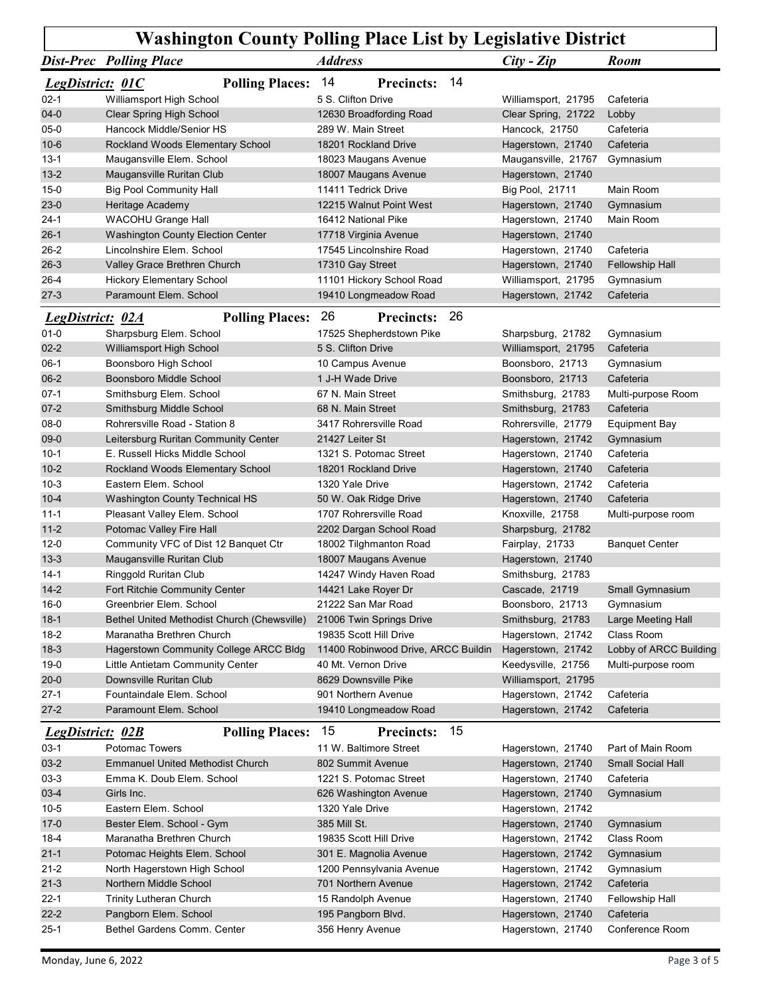|                                   | <b>Dist-Prec</b> Polling Place                                           | <b>Address</b>                                           | $City - Zip$                                | <b>Room</b>                      |
|-----------------------------------|--------------------------------------------------------------------------|----------------------------------------------------------|---------------------------------------------|----------------------------------|
| <b>LegDistrict: 01C</b>           | <b>Polling Places: 14</b>                                                | -14<br><b>Precincts:</b>                                 |                                             |                                  |
| $02-1$                            | Williamsport High School                                                 | 5 S. Clifton Drive                                       | Williamsport, 21795                         | Cafeteria                        |
| $04 - 0$<br>$05-0$                | Clear Spring High School<br>Hancock Middle/Senior HS                     | 12630 Broadfording Road<br>289 W. Main Street            | Clear Spring, 21722<br>Hancock, 21750       | Lobby<br>Cafeteria               |
| $10 - 6$                          | Rockland Woods Elementary School                                         | 18201 Rockland Drive                                     | Hagerstown, 21740                           | Cafeteria                        |
| $13 - 1$                          | Maugansville Elem. School                                                | 18023 Maugans Avenue                                     | Maugansville, 21767                         | Gymnasium                        |
| $13 - 2$                          | Maugansville Ruritan Club                                                | 18007 Maugans Avenue                                     | Hagerstown, 21740                           |                                  |
| $15-0$<br>$23-0$                  | <b>Big Pool Community Hall</b><br>Heritage Academy                       | 11411 Tedrick Drive<br>12215 Walnut Point West           | <b>Big Pool, 21711</b><br>Hagerstown, 21740 | Main Room<br>Gymnasium           |
| $24-1$                            | WACOHU Grange Hall                                                       | 16412 National Pike                                      | Hagerstown, 21740                           | Main Room                        |
| $26-1$                            | <b>Washington County Election Center</b>                                 | 17718 Virginia Avenue                                    | Hagerstown, 21740                           |                                  |
| $26 - 2$                          | Lincolnshire Elem. School                                                | 17545 Lincolnshire Road                                  | Hagerstown, 21740                           | Cafeteria                        |
| $26 - 3$<br>$26 - 4$              | Valley Grace Brethren Church<br><b>Hickory Elementary School</b>         | 17310 Gay Street<br>11101 Hickory School Road            | Hagerstown, 21740<br>Williamsport, 21795    | Fellowship Hall<br>Gymnasium     |
| $27-3$                            | Paramount Elem. School                                                   | 19410 Longmeadow Road                                    | Hagerstown, 21742                           | Cafeteria                        |
| <b>LegDistrict: 02A</b>           | <b>Polling Places: 26</b>                                                | 26<br><b>Precincts:</b>                                  |                                             |                                  |
| $01 - 0$                          | Sharpsburg Elem. School                                                  | 17525 Shepherdstown Pike                                 | Sharpsburg, 21782                           | Gymnasium                        |
| $02 - 2$                          | Williamsport High School                                                 | 5 S. Clifton Drive                                       | Williamsport, 21795                         | Cafeteria                        |
| $06-1$                            | Boonsboro High School                                                    | 10 Campus Avenue                                         | Boonsboro, 21713                            | Gymnasium                        |
| $06 - 2$<br>$07-1$                | <b>Boonsboro Middle School</b><br>Smithsburg Elem. School                | 1 J-H Wade Drive<br>67 N. Main Street                    | Boonsboro, 21713<br>Smithsburg, 21783       | Cafeteria<br>Multi-purpose Room  |
| $07 - 2$                          | Smithsburg Middle School                                                 | 68 N. Main Street                                        | Smithsburg, 21783                           | Cafeteria                        |
| $08-0$                            | Rohrersville Road - Station 8                                            | 3417 Rohrersville Road                                   | Rohrersville, 21779                         | <b>Equipment Bay</b>             |
| 09-0                              | Leitersburg Ruritan Community Center                                     | 21427 Leiter St                                          | Hagerstown, 21742                           | Gymnasium                        |
| $10-1$<br>$10 - 2$                | E. Russell Hicks Middle School<br>Rockland Woods Elementary School       | 1321 S. Potomac Street<br>18201 Rockland Drive           | Hagerstown, 21740                           | Cafeteria<br>Cafeteria           |
| $10-3$                            | Eastern Elem. School                                                     | 1320 Yale Drive                                          | Hagerstown, 21740<br>Hagerstown, 21742      | Cafeteria                        |
| $10 - 4$                          | Washington County Technical HS                                           | 50 W. Oak Ridge Drive                                    | Hagerstown, 21740                           | Cafeteria                        |
| $11 - 1$                          | Pleasant Valley Elem. School                                             | 1707 Rohrersville Road                                   | Knoxville, 21758                            | Multi-purpose room               |
| $11 - 2$                          | Potomac Valley Fire Hall                                                 | 2202 Dargan School Road                                  | Sharpsburg, 21782                           |                                  |
| $12 - 0$<br>$13 - 3$              | Community VFC of Dist 12 Banquet Ctr<br>Maugansville Ruritan Club        | 18002 Tilghmanton Road<br>18007 Maugans Avenue           | Fairplay, 21733<br>Hagerstown, 21740        | <b>Banquet Center</b>            |
| $14-1$                            | Ringgold Ruritan Club                                                    | 14247 Windy Haven Road                                   | Smithsburg, 21783                           |                                  |
| $14 - 2$                          | Fort Ritchie Community Center                                            | 14421 Lake Royer Dr                                      | Cascade, 21719                              | Small Gymnasium                  |
| $16-0$                            | Greenbrier Elem. School                                                  | 21222 San Mar Road                                       | Boonsboro, 21713                            | Gymnasium                        |
| $18-1$<br>$18-2$                  | Bethel United Methodist Church (Chewsville)<br>Maranatha Brethren Church | 21006 Twin Springs Drive<br>19835 Scott Hill Drive       | Smithsburg, 21783<br>Hagerstown, 21742      | Large Meeting Hall<br>Class Room |
| $18-3$                            | Hagerstown Community College ARCC Bldg                                   | 11400 Robinwood Drive, ARCC Buildin                      | Hagerstown, 21742                           | Lobby of ARCC Building           |
| $19-0$                            | Little Antietam Community Center                                         | 40 Mt. Vernon Drive                                      | Keedysville, 21756                          | Multi-purpose room               |
| $20 - 0$                          | Downsville Ruritan Club                                                  | 8629 Downsville Pike                                     | Williamsport, 21795                         |                                  |
| $27-1$<br>$27-2$                  | Fountaindale Elem. School<br>Paramount Elem. School                      | 901 Northern Avenue<br>19410 Longmeadow Road             | Hagerstown, 21742<br>Hagerstown, 21742      | Cafeteria<br>Cafeteria           |
|                                   |                                                                          |                                                          |                                             |                                  |
| <b>LegDistrict: 02B</b><br>$03-1$ | <b>Polling Places:</b><br>Potomac Towers                                 | 15<br>-15<br><b>Precincts:</b><br>11 W. Baltimore Street | Hagerstown, 21740                           | Part of Main Room                |
| $03-2$                            | <b>Emmanuel United Methodist Church</b>                                  | 802 Summit Avenue                                        | Hagerstown, 21740                           | Small Social Hall                |
| $03-3$                            | Emma K. Doub Elem. School                                                | 1221 S. Potomac Street                                   | Hagerstown, 21740                           | Cafeteria                        |
| $03-4$                            | Girls Inc.                                                               | 626 Washington Avenue                                    | Hagerstown, 21740                           | Gymnasium                        |
| $10 - 5$                          | Eastern Elem. School                                                     | 1320 Yale Drive                                          | Hagerstown, 21742                           |                                  |
| $17-0$<br>$18 - 4$                | Bester Elem. School - Gym<br>Maranatha Brethren Church                   | 385 Mill St.<br>19835 Scott Hill Drive                   | Hagerstown, 21740                           | Gymnasium<br>Class Room          |
| $21 - 1$                          | Potomac Heights Elem. School                                             | 301 E. Magnolia Avenue                                   | Hagerstown, 21742<br>Hagerstown, 21742      | Gymnasium                        |
| $21 - 2$                          | North Hagerstown High School                                             | 1200 Pennsylvania Avenue                                 | Hagerstown, 21742                           | Gymnasium                        |
| $21-3$                            | Northern Middle School                                                   | 701 Northern Avenue                                      | Hagerstown, 21742                           | Cafeteria                        |
| $22 - 1$                          | <b>Trinity Lutheran Church</b>                                           | 15 Randolph Avenue                                       | Hagerstown, 21740                           | Fellowship Hall                  |
| $22 - 2$                          | Pangborn Elem. School<br>Bethel Gardens Comm. Center                     | 195 Pangborn Blvd.<br>356 Henry Avenue                   | Hagerstown, 21740<br>Hagerstown, 21740      | Cafeteria<br>Conference Room     |
| $25-1$                            |                                                                          |                                                          |                                             |                                  |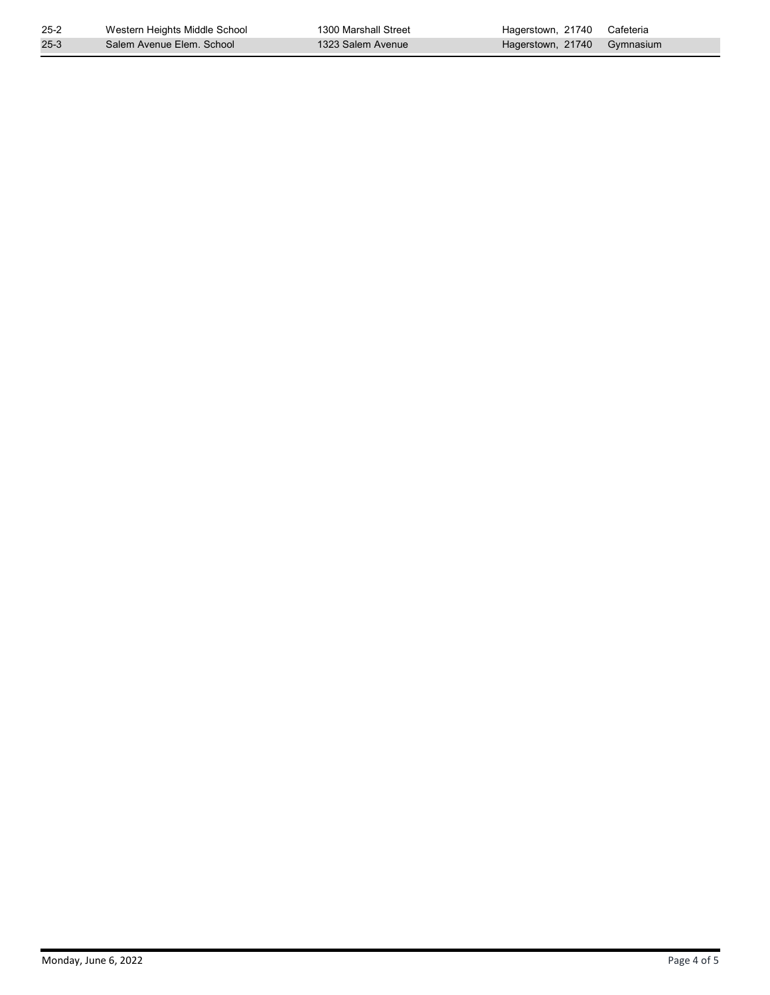| $25 - 2$ | Western Heights Middle School | 1300 Marshall Street | Hagerstown, 21740 | Cafeteria |  |
|----------|-------------------------------|----------------------|-------------------|-----------|--|
| $25-3$   | Salem Avenue Elem. School     | 1323 Salem Avenue    | Hagerstown, 21740 | Gymnasium |  |
|          |                               |                      |                   |           |  |
|          |                               |                      |                   |           |  |
|          |                               |                      |                   |           |  |
|          |                               |                      |                   |           |  |